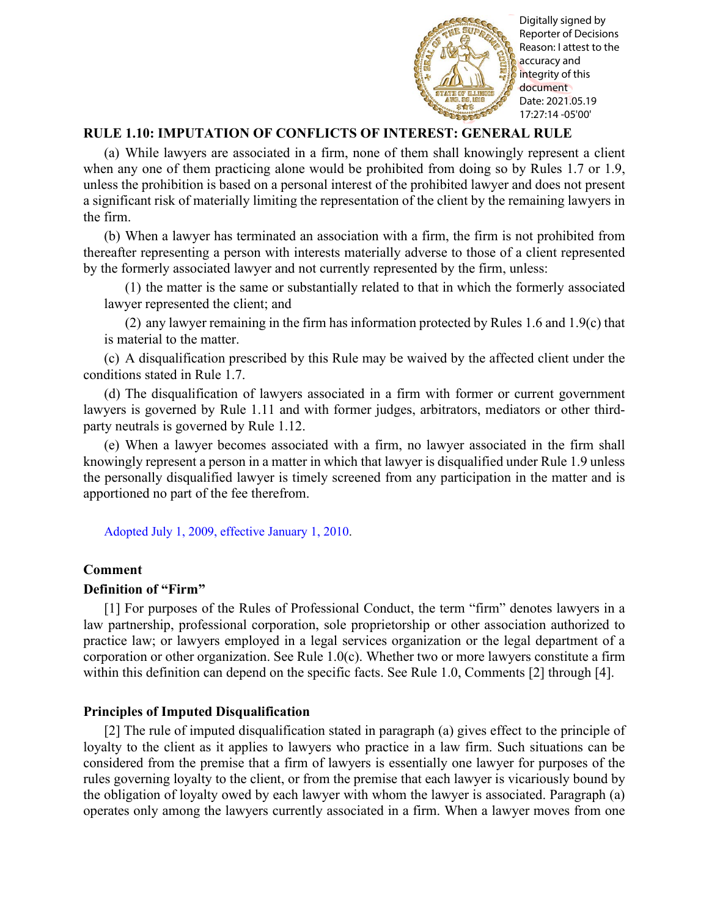

Reporter of Decisions Reason: I attest to the accuracy and integrity of this document Date: 2021.05.19 17:27:14 -05'00'

## **RULE 1.10: IMPUTATION OF CONFLICTS OF INTEREST: GENERAL RULE**

(a) While lawyers are associated in a firm, none of them shall knowingly represent a client when any one of them practicing alone would be prohibited from doing so by Rules 1.7 or 1.9, unless the prohibition is based on a personal interest of the prohibited lawyer and does not present a significant risk of materially limiting the representation of the client by the remaining lawyers in the firm.

(b) When a lawyer has terminated an association with a firm, the firm is not prohibited from thereafter representing a person with interests materially adverse to those of a client represented by the formerly associated lawyer and not currently represented by the firm, unless:

(1) the matter is the same or substantially related to that in which the formerly associated lawyer represented the client; and

(2) any lawyer remaining in the firm has information protected by Rules 1.6 and 1.9(c) that is material to the matter.

(c) A disqualification prescribed by this Rule may be waived by the affected client under the conditions stated in Rule 1.7.

(d) The disqualification of lawyers associated in a firm with former or current government lawyers is governed by Rule 1.11 and with former judges, arbitrators, mediators or other thirdparty neutrals is governed by Rule 1.12.

(e) When a lawyer becomes associated with a firm, no lawyer associated in the firm shall knowingly represent a person in a matter in which that lawyer is disqualified under Rule 1.9 unless the personally disqualified lawyer is timely screened from any participation in the matter and is apportioned no part of the fee therefrom.

[Adopted July 1, 2009, effective January 1, 2010.](http://www.illinoiscourts.gov/files/070109.pdf/amendment)

## **Comment**

## **Definition of "Firm"**

[1] For purposes of the Rules of Professional Conduct, the term "firm" denotes lawyers in a law partnership, professional corporation, sole proprietorship or other association authorized to practice law; or lawyers employed in a legal services organization or the legal department of a corporation or other organization. See Rule 1.0(c). Whether two or more lawyers constitute a firm within this definition can depend on the specific facts. See Rule 1.0, Comments [2] through [4].

## **Principles of Imputed Disqualification**

[2] The rule of imputed disqualification stated in paragraph (a) gives effect to the principle of loyalty to the client as it applies to lawyers who practice in a law firm. Such situations can be considered from the premise that a firm of lawyers is essentially one lawyer for purposes of the rules governing loyalty to the client, or from the premise that each lawyer is vicariously bound by the obligation of loyalty owed by each lawyer with whom the lawyer is associated. Paragraph (a) **SURFACE ACT ACTES ON CONFIDENTIFY AND OR CONFIDENT SOFT ATTENENT CONFIDENT CONFIDENT CONFIDENT CONFIDENT CONFIDENT CONFIDENT CONFIDENT CONFIDENT CONFIDENT CONFIDENT CONFIDENT CONFIDENT CONFIDENT CONFIDENT CONFIDENT CONFI**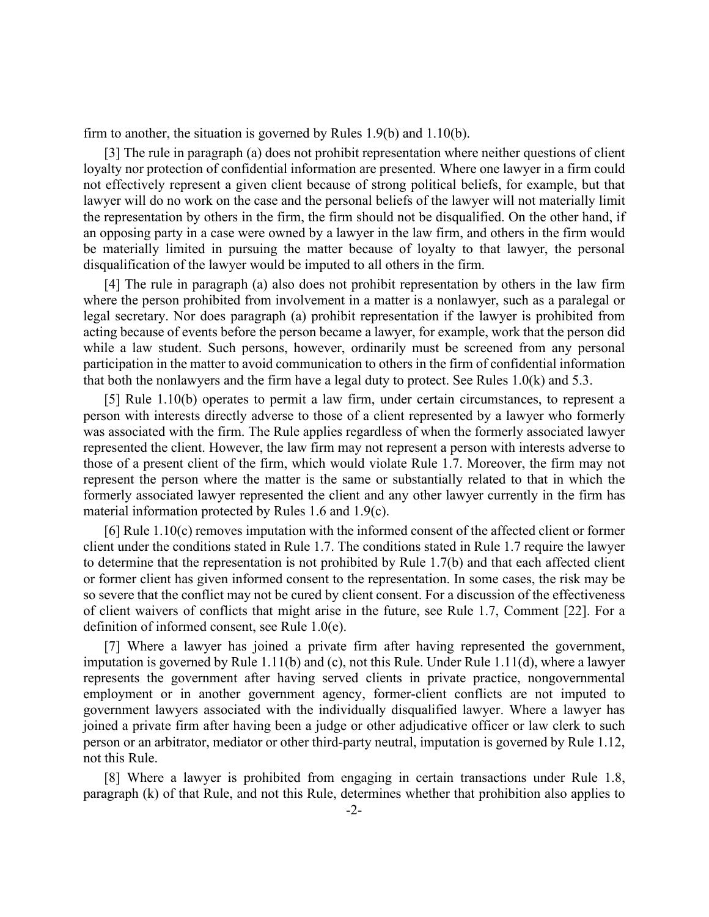firm to another, the situation is governed by Rules 1.9(b) and 1.10(b).

[3] The rule in paragraph (a) does not prohibit representation where neither questions of client loyalty nor protection of confidential information are presented. Where one lawyer in a firm could not effectively represent a given client because of strong political beliefs, for example, but that lawyer will do no work on the case and the personal beliefs of the lawyer will not materially limit the representation by others in the firm, the firm should not be disqualified. On the other hand, if an opposing party in a case were owned by a lawyer in the law firm, and others in the firm would be materially limited in pursuing the matter because of loyalty to that lawyer, the personal disqualification of the lawyer would be imputed to all others in the firm.

[4] The rule in paragraph (a) also does not prohibit representation by others in the law firm where the person prohibited from involvement in a matter is a nonlawyer, such as a paralegal or legal secretary. Nor does paragraph (a) prohibit representation if the lawyer is prohibited from acting because of events before the person became a lawyer, for example, work that the person did while a law student. Such persons, however, ordinarily must be screened from any personal participation in the matter to avoid communication to others in the firm of confidential information that both the nonlawyers and the firm have a legal duty to protect. See Rules  $1.0(k)$  and  $5.3$ .

[5] Rule 1.10(b) operates to permit a law firm, under certain circumstances, to represent a person with interests directly adverse to those of a client represented by a lawyer who formerly was associated with the firm. The Rule applies regardless of when the formerly associated lawyer represented the client. However, the law firm may not represent a person with interests adverse to those of a present client of the firm, which would violate Rule 1.7. Moreover, the firm may not represent the person where the matter is the same or substantially related to that in which the formerly associated lawyer represented the client and any other lawyer currently in the firm has material information protected by Rules 1.6 and 1.9(c).

[6] Rule 1.10(c) removes imputation with the informed consent of the affected client or former client under the conditions stated in Rule 1.7. The conditions stated in Rule 1.7 require the lawyer to determine that the representation is not prohibited by Rule 1.7(b) and that each affected client or former client has given informed consent to the representation. In some cases, the risk may be so severe that the conflict may not be cured by client consent. For a discussion of the effectiveness of client waivers of conflicts that might arise in the future, see Rule 1.7, Comment [22]. For a definition of informed consent, see Rule 1.0(e).

[7] Where a lawyer has joined a private firm after having represented the government, imputation is governed by Rule 1.11(b) and (c), not this Rule. Under Rule 1.11(d), where a lawyer represents the government after having served clients in private practice, nongovernmental employment or in another government agency, former-client conflicts are not imputed to government lawyers associated with the individually disqualified lawyer. Where a lawyer has joined a private firm after having been a judge or other adjudicative officer or law clerk to such person or an arbitrator, mediator or other third-party neutral, imputation is governed by Rule 1.12, not this Rule.

[8] Where a lawyer is prohibited from engaging in certain transactions under Rule 1.8, paragraph (k) of that Rule, and not this Rule, determines whether that prohibition also applies to